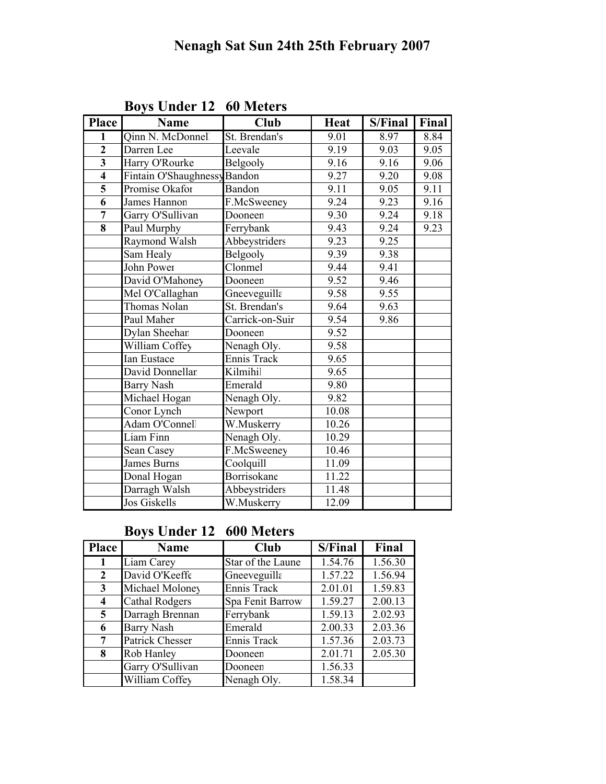| <b>Place</b>            | <b>Name</b>                  | <b>Club</b>        | <b>Heat</b> | S/Final | Final |
|-------------------------|------------------------------|--------------------|-------------|---------|-------|
| $\mathbf{1}$            | Qinn N. McDonnell            | St. Brendan's      | 9.01        | 8.97    | 8.84  |
| $\overline{2}$          | Darren Lee                   | Leevale            | 9.19        | 9.03    | 9.05  |
| $\overline{\mathbf{3}}$ | Harry O'Rourke               | Belgooly           | 9.16        | 9.16    | 9.06  |
| $\overline{\bf{4}}$     | Fintain O'Shaughnessy Bandon |                    | 9.27        | 9.20    | 9.08  |
|                         | Promise Okafor               | Bandon             | 9.11        | 9.05    | 9.11  |
| $\overline{6}$          | James Hannon                 | F.McSweeney        | 9.24        | 9.23    | 9.16  |
| $\overline{7}$          | Garry O'Sullivan             | Dooneen            | 9.30        | 9.24    | 9.18  |
| $\overline{\bf 8}$      | Paul Murphy                  | Ferrybank          | 9.43        | 9.24    | 9.23  |
|                         | Raymond Walsh                | Abbeystriders      | 9.23        | 9.25    |       |
|                         | Sam Healy                    | Belgooly           | 9.39        | 9.38    |       |
|                         | <b>John Power</b>            | Clonmel            | 9.44        | 9.41    |       |
|                         | David O'Mahoney              | Dooneen            | 9.52        | 9.46    |       |
|                         | Mel O'Callaghan              | Gneeveguilla       | 9.58        | 9.55    |       |
|                         | <b>Thomas Nolan</b>          | St. Brendan's      | 9.64        | 9.63    |       |
|                         | Paul Maher                   | Carrick-on-Suir    | 9.54        | 9.86    |       |
|                         | Dylan Sheehan                | Dooneen            | 9.52        |         |       |
|                         | William Coffey               | Nenagh Oly.        | 9.58        |         |       |
|                         | <b>Ian Eustace</b>           | Ennis Track        | 9.65        |         |       |
|                         | David Donnellar              | Kilmihil           | 9.65        |         |       |
|                         | <b>Barry Nash</b>            | Emerald            | 9.80        |         |       |
|                         | Michael Hogan                | Nenagh Oly.        | 9.82        |         |       |
|                         | Conor Lynch                  | Newport            | 10.08       |         |       |
|                         | Adam O'Connel                | W.Muskerry         | 10.26       |         |       |
|                         | Liam Finn                    | Nenagh Oly.        | 10.29       |         |       |
|                         | Sean Casey                   | F.McSweeney        | 10.46       |         |       |
|                         | <b>James Burns</b>           | Coolquill          | 11.09       |         |       |
|                         | Donal Hogan                  | <b>Borrisokane</b> | 11.22       |         |       |
|                         | Darragh Walsh                | Abbeystriders      | 11.48       |         |       |
|                         | <b>Jos Giskells</b>          | W.Muskerry         | 12.09       |         |       |

Boys Under 12 60 Meters

#### Boys Under 12 600 Meters

| <b>Place</b>   | Name                  | Club              | S/Final | Final   |
|----------------|-----------------------|-------------------|---------|---------|
| 1              | Liam Carey            | Star of the Laune | 1.54.76 | 1.56.30 |
| 2              | David O'Keeffe        | Gneeveguilla      | 1.57.22 | 1.56.94 |
| 3              | Michael Moloney       | Ennis Track       | 2.01.01 | 1.59.83 |
| 4              | <b>Cathal Rodgers</b> | Spa Fenit Barrow  | 1.59.27 | 2.00.13 |
| $\overline{5}$ | Darragh Brennan       | Ferrybank         | 1.59.13 | 2.02.93 |
| 6              | <b>Barry Nash</b>     | Emerald           | 2.00.33 | 2.03.36 |
| 7              | Patrick Chesser       | Ennis Track       | 1.57.36 | 2.03.73 |
| 8              | Rob Hanley            | Dooneen           | 2.01.71 | 2.05.30 |
|                | Garry O'Sullivan      | Dooneen           | 1.56.33 |         |
|                | William Coffey        | Nenagh Oly.       | 1.58.34 |         |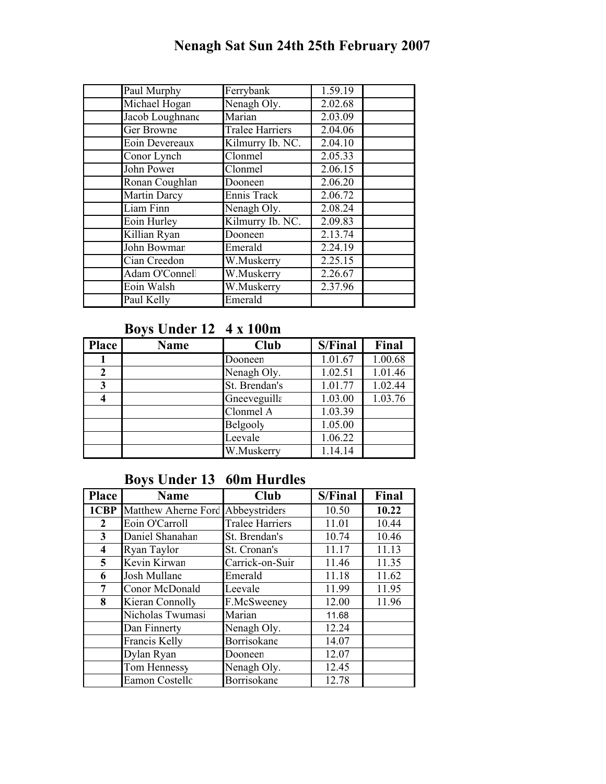# Nenagh Sat Sun 24th 25th February 2007

| Paul Murphy     | Ferrybank              | 1.59.19 |
|-----------------|------------------------|---------|
| Michael Hogan   | Nenagh Oly.            | 2.02.68 |
| Jacob Loughnane | Marian                 | 2.03.09 |
| Ger Browne      | <b>Tralee Harriers</b> | 2.04.06 |
| Eoin Devereaux  | Kilmurry Ib. NC.       | 2.04.10 |
| Conor Lynch     | Clonmel                | 2.05.33 |
| John Power      | Clonmel                | 2.06.15 |
| Ronan Coughlan  | Dooneen                | 2.06.20 |
| Martin Darcy    | Ennis Track            | 2.06.72 |
| Liam Finn       | Nenagh Oly.            | 2.08.24 |
| Eoin Hurley     | Kilmurry Ib. NC.       | 2.09.83 |
| Killian Ryan    | Dooneen                | 2.13.74 |
| John Bowmar     | Emerald                | 2.24.19 |
| Cian Creedon    | W.Muskerry             | 2.25.15 |
| Adam O'Connel   | W.Muskerry             | 2.26.67 |
| Eoin Walsh      | W.Muskerry             | 2.37.96 |
| Paul Kelly      | Emerald                |         |

#### Boys Under 12 4 x 100m

| <b>Place</b> | <b>Name</b> | <b>Club</b>     | S/Final | Final   |
|--------------|-------------|-----------------|---------|---------|
|              |             | Dooneen         | 1.01.67 | 1.00.68 |
| $\mathbf 2$  |             | Nenagh Oly.     | 1.02.51 | 1.01.46 |
| 3            |             | St. Brendan's   | 1.01.77 | 1.02.44 |
| 4            |             | Gneeveguilla    | 1.03.00 | 1.03.76 |
|              |             | Clonmel A       | 1.03.39 |         |
|              |             | <b>Belgooly</b> | 1.05.00 |         |
|              |             | Leevale         | 1.06.22 |         |
|              |             | W.Muskerry      | 1.14.14 |         |

#### Boys Under 13 60m Hurdles

| <b>Place</b> | <b>Name</b>                       | Club                   | S/Final | Final |
|--------------|-----------------------------------|------------------------|---------|-------|
| 1CBP         | Matthew Aherne Ford Abbeystriders |                        | 10.50   | 10.22 |
| 2            | Eoin O'Carroll                    | <b>Tralee Harriers</b> | 11.01   | 10.44 |
| 3            | Daniel Shanahan                   | St. Brendan's          | 10.74   | 10.46 |
| 4            | Ryan Taylor                       | St. Cronan's           | 11.17   | 11.13 |
| 5            | Kevin Kirwan                      | Carrick-on-Suir        | 11.46   | 11.35 |
| 6            | Josh Mullane                      | Emerald                | 11.18   | 11.62 |
| 7            | Conor McDonald                    | Leevale                | 11.99   | 11.95 |
| 8            | Kieran Connolly                   | F.McSweeney            | 12.00   | 11.96 |
|              | Nicholas Twumasi                  | Marian                 | 11.68   |       |
|              | Dan Finnerty                      | Nenagh Oly.            | 12.24   |       |
|              | Francis Kelly                     | Borrisokane            | 14.07   |       |
|              | Dylan Ryan                        | Dooneen                | 12.07   |       |
|              | Tom Hennessy                      | Nenagh Oly.            | 12.45   |       |
|              | <b>Eamon Costellc</b>             | Borrisokane            | 12.78   |       |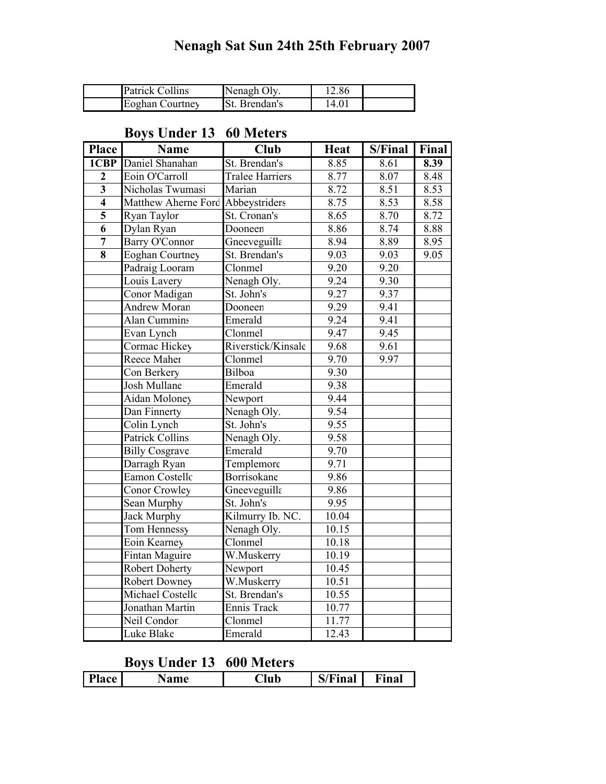# Nenagh Sat Sun 24th 25th February 2007

| <b>Patrick Collins</b> | Nenagh Oly           | 12.86 |  |
|------------------------|----------------------|-------|--|
| <b>Eoghan Courtney</b> | <b>St.</b> Brendan's | 14.01 |  |

#### Boys Under 13 60 Meters

| <b>Place</b>            | <b>Name</b>            | <b>Club</b>                  | <b>Heat</b> | S/Final | Final |
|-------------------------|------------------------|------------------------------|-------------|---------|-------|
| $1$ CBP                 | Daniel Shanahan        | St. Brendan's                | 8.85        | 8.61    | 8.39  |
| $\boldsymbol{2}$        | Eoin O'Carroll         | <b>Tralee Harriers</b>       | 8.77        | 8.07    | 8.48  |
| $\overline{\mathbf{3}}$ | Nicholas Twumasi       | Marian                       | 8.72        | 8.51    | 8.53  |
| $\overline{4}$          | Matthew Aherne Ford    | Abbeystriders                | 8.75        | 8.53    | 8.58  |
| $\overline{\mathbf{5}}$ | Ryan Taylor            | St. Cronan's                 | 8.65        | 8.70    | 8.72  |
| $\overline{6}$          | Dylan Ryan             | Dooneen                      | 8.86        | 8.74    | 8.88  |
| $\overline{7}$          | Barry O'Connor         | Gneeveguilla                 | 8.94        | 8.89    | 8.95  |
| $\overline{\bf 8}$      | <b>Eoghan Courtney</b> | St. Brendan's                | 9.03        | 9.03    | 9.05  |
|                         | Padraig Looram         | $\overline{\text{Cl}}$ onmel | 9.20        | 9.20    |       |
|                         | Louis Lavery           | Nenagh Oly.                  | 9.24        | 9.30    |       |
|                         | Conor Madigan          | St. John's                   | 9.27        | 9.37    |       |
|                         | <b>Andrew Moran</b>    | Dooneen                      | 9.29        | 9.41    |       |
|                         | <b>Alan Cummins</b>    | Emerald                      | 9.24        | 9.41    |       |
|                         | Evan Lynch             | Clonmel                      | 9.47        | 9.45    |       |
|                         | Cormac Hickey          | Riverstick/Kinsale           | 9.68        | 9.61    |       |
|                         | Reece Maher            | Clonmel                      | 9.70        | 9.97    |       |
|                         | Con Berkery            | Bilboa                       | 9.30        |         |       |
|                         | <b>Josh Mullane</b>    | Emerald                      | 9.38        |         |       |
|                         | Aidan Moloney          | Newport                      | 9.44        |         |       |
|                         | Dan Finnerty           | Nenagh Oly.                  | 9.54        |         |       |
|                         | Colin Lynch            | St. John's                   | 9.55        |         |       |
|                         | <b>Patrick Collins</b> | Nenagh Oly.                  | 9.58        |         |       |
|                         | <b>Billy Cosgrave</b>  | Emerald                      | 9.70        |         |       |
|                         | Darragh Ryan           | Templemore                   | 9.71        |         |       |
|                         | Eamon Costellc         | <b>Borrisokane</b>           | 9.86        |         |       |
|                         | Conor Crowley          | Gneeveguilla                 | 9.86        |         |       |
|                         | Sean Murphy            | St. John's                   | 9.95        |         |       |
|                         | Jack Murphy            | Kilmurry Ib. NC.             | 10.04       |         |       |
|                         | Tom Hennessy           | Nenagh Oly.                  | 10.15       |         |       |
|                         | Eoin Kearney           | Clonmel                      | 10.18       |         |       |
|                         | Fintan Maguire         | W.Muskerry                   | 10.19       |         |       |
|                         | <b>Robert Doherty</b>  | Newport                      | 10.45       |         |       |
|                         | <b>Robert Downey</b>   | W.Muskerry                   | 10.51       |         |       |
|                         | Michael Costellc       | St. Brendan's                | 10.55       |         |       |
|                         | Jonathan Martin        | Ennis Track                  | 10.77       |         |       |
|                         | Neil Condor            | Clonmel                      | 11.77       |         |       |
|                         | <b>Luke Blake</b>      | Emerald                      | 12.43       |         |       |

# Boys Under 13 600 Meters

|  |  | <b>Place</b> | ame | Aub_ | $T$ Final | $\nabla$ inal |
|--|--|--------------|-----|------|-----------|---------------|
|--|--|--------------|-----|------|-----------|---------------|